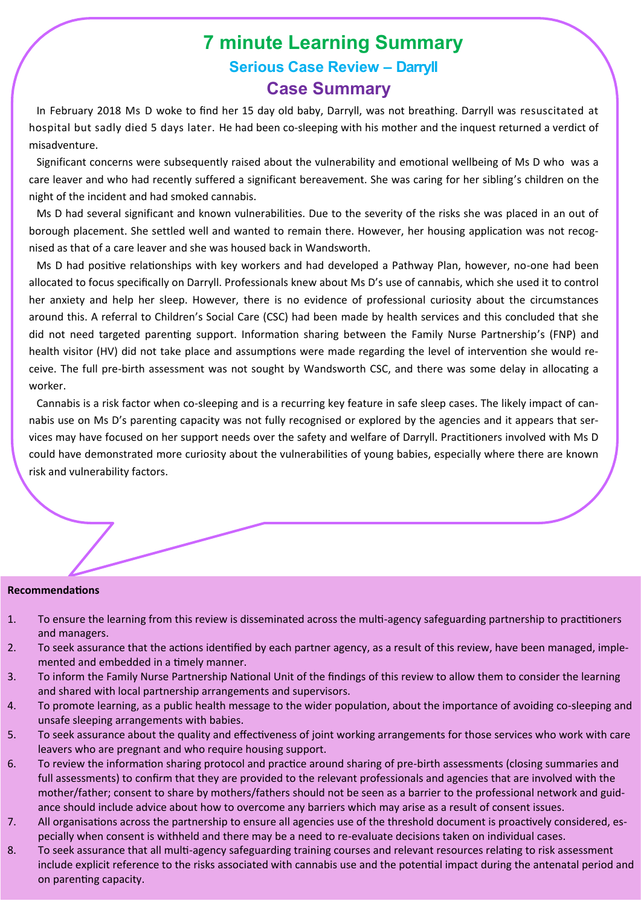# **7 minute Learning Summary Serious Case Review – Darryll Case Summary**

In February 2018 Ms D woke to find her 15 day old baby, Darryll, was not breathing. Darryll was resuscitated at hospital but sadly died 5 days later. He had been co-sleeping with his mother and the inquest returned a verdict of misadventure.

Significant concerns were subsequently raised about the vulnerability and emotional wellbeing of Ms D who was a care leaver and who had recently suffered a significant bereavement. She was caring for her sibling's children on the night of the incident and had smoked cannabis.

Ms D had several significant and known vulnerabilities. Due to the severity of the risks she was placed in an out of borough placement. She settled well and wanted to remain there. However, her housing application was not recognised as that of a care leaver and she was housed back in Wandsworth.

Ms D had positive relationships with key workers and had developed a Pathway Plan, however, no-one had been allocated to focus specifically on Darryll. Professionals knew about Ms D's use of cannabis, which she used it to control her anxiety and help her sleep. However, there is no evidence of professional curiosity about the circumstances around this. A referral to Children's Social Care (CSC) had been made by health services and this concluded that she did not need targeted parenting support. Information sharing between the Family Nurse Partnership's (FNP) and health visitor (HV) did not take place and assumptions were made regarding the level of intervention she would receive. The full pre-birth assessment was not sought by Wandsworth CSC, and there was some delay in allocating a worker.

Cannabis is a risk factor when co-sleeping and is a recurring key feature in safe sleep cases. The likely impact of cannabis use on Ms D's parenting capacity was not fully recognised or explored by the agencies and it appears that services may have focused on her support needs over the safety and welfare of Darryll. Practitioners involved with Ms D could have demonstrated more curiosity about the vulnerabilities of young babies, especially where there are known risk and vulnerability factors.

#### **Recommendations**

- 1. To ensure the learning from this review is disseminated across the multi-agency safeguarding partnership to practitioners and managers.
- 2. To seek assurance that the actions identified by each partner agency, as a result of this review, have been managed, implemented and embedded in a timely manner.
- 3. To inform the Family Nurse Partnership National Unit of the findings of this review to allow them to consider the learning and shared with local partnership arrangements and supervisors.
- 4. To promote learning, as a public health message to the wider population, about the importance of avoiding co-sleeping and unsafe sleeping arrangements with babies.
- 5. To seek assurance about the quality and effectiveness of joint working arrangements for those services who work with care leavers who are pregnant and who require housing support.
- 6. To review the information sharing protocol and practice around sharing of pre-birth assessments (closing summaries and full assessments) to confirm that they are provided to the relevant professionals and agencies that are involved with the mother/father; consent to share by mothers/fathers should not be seen as a barrier to the professional network and guidance should include advice about how to overcome any barriers which may arise as a result of consent issues.
- 7. All organisations across the partnership to ensure all agencies use of the threshold document is proactively considered, especially when consent is withheld and there may be a need to re-evaluate decisions taken on individual cases.
- 8. To seek assurance that all multi-agency safeguarding training courses and relevant resources relating to risk assessment include explicit reference to the risks associated with cannabis use and the potential impact during the antenatal period and on parenting capacity.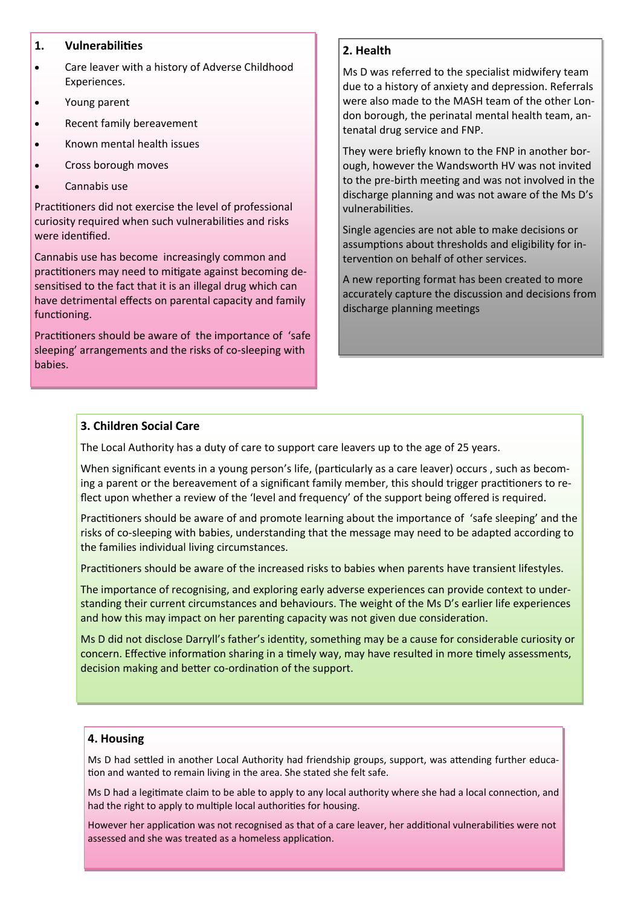## **1. Vulnerabilities**

- Care leaver with a history of Adverse Childhood Experiences.
- Young parent
- Recent family bereavement
- Known mental health issues
- Cross borough moves
- Cannabis use

Practitioners did not exercise the level of professional curiosity required when such vulnerabilities and risks were identified.

Cannabis use has become increasingly common and practitioners may need to mitigate against becoming desensitised to the fact that it is an illegal drug which can have detrimental effects on parental capacity and family functioning.

Practitioners should be aware of the importance of 'safe sleeping' arrangements and the risks of co-sleeping with babies.

# **2. Health**

Ms D was referred to the specialist midwifery team due to a history of anxiety and depression. Referrals were also made to the MASH team of the other London borough, the perinatal mental health team, antenatal drug service and FNP.

They were briefly known to the FNP in another borough, however the Wandsworth HV was not invited to the pre-birth meeting and was not involved in the discharge planning and was not aware of the Ms D's vulnerabilities.

Single agencies are not able to make decisions or assumptions about thresholds and eligibility for intervention on behalf of other services.

A new reporting format has been created to more accurately capture the discussion and decisions from discharge planning meetings

## **3. Children Social Care**

The Local Authority has a duty of care to support care leavers up to the age of 25 years.

When significant events in a young person's life, (particularly as a care leaver) occurs , such as becoming a parent or the bereavement of a significant family member, this should trigger practitioners to reflect upon whether a review of the 'level and frequency' of the support being offered is required.

Practitioners should be aware of and promote learning about the importance of 'safe sleeping' and the risks of co-sleeping with babies, understanding that the message may need to be adapted according to the families individual living circumstances.

Practitioners should be aware of the increased risks to babies when parents have transient lifestyles.

The importance of recognising, and exploring early adverse experiences can provide context to understanding their current circumstances and behaviours. The weight of the Ms D's earlier life experiences and how this may impact on her parenting capacity was not given due consideration.

Ms D did not disclose Darryll's father's identity, something may be a cause for considerable curiosity or concern. Effective information sharing in a timely way, may have resulted in more timely assessments, decision making and better co-ordination of the support.

#### **4. Housing**

Ms D had settled in another Local Authority had friendship groups, support, was attending further education and wanted to remain living in the area. She stated she felt safe.

Ms D had a legitimate claim to be able to apply to any local authority where she had a local connection, and had the right to apply to multiple local authorities for housing.

However her application was not recognised as that of a care leaver, her additional vulnerabilities were not assessed and she was treated as a homeless application.